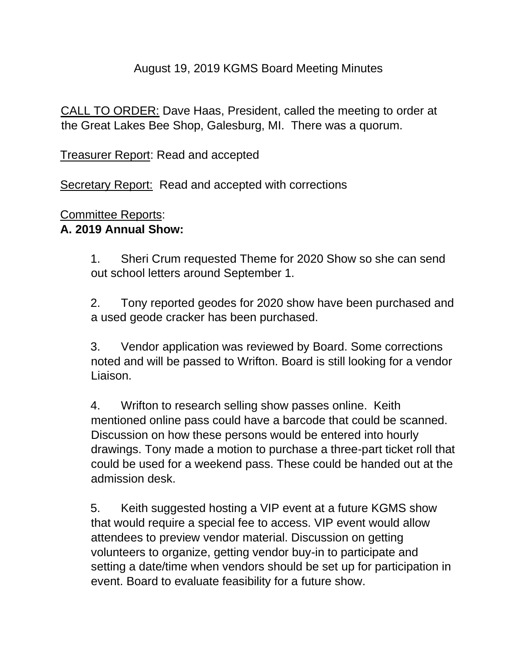## August 19, 2019 KGMS Board Meeting Minutes

CALL TO ORDER: Dave Haas, President, called the meeting to order at the Great Lakes Bee Shop, Galesburg, MI. There was a quorum.

Treasurer Report: Read and accepted

Secretary Report: Read and accepted with corrections

#### Committee Reports:

## **A. 2019 Annual Show:**

1. Sheri Crum requested Theme for 2020 Show so she can send out school letters around September 1.

2. Tony reported geodes for 2020 show have been purchased and a used geode cracker has been purchased.

3. Vendor application was reviewed by Board. Some corrections noted and will be passed to Wrifton. Board is still looking for a vendor Liaison.

4. Wrifton to research selling show passes online. Keith mentioned online pass could have a barcode that could be scanned. Discussion on how these persons would be entered into hourly drawings. Tony made a motion to purchase a three-part ticket roll that could be used for a weekend pass. These could be handed out at the admission desk.

5. Keith suggested hosting a VIP event at a future KGMS show that would require a special fee to access. VIP event would allow attendees to preview vendor material. Discussion on getting volunteers to organize, getting vendor buy-in to participate and setting a date/time when vendors should be set up for participation in event. Board to evaluate feasibility for a future show.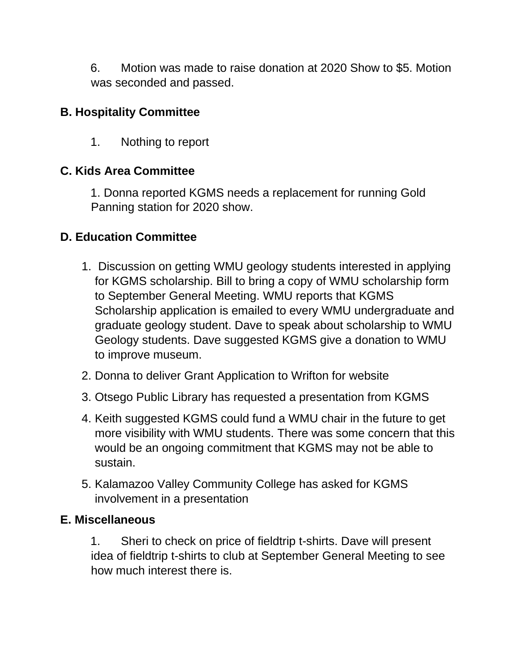6. Motion was made to raise donation at 2020 Show to \$5. Motion was seconded and passed.

# **B. Hospitality Committee**

1. Nothing to report

# **C. Kids Area Committee**

1. Donna reported KGMS needs a replacement for running Gold Panning station for 2020 show.

## **D. Education Committee**

- 1. Discussion on getting WMU geology students interested in applying for KGMS scholarship. Bill to bring a copy of WMU scholarship form to September General Meeting. WMU reports that KGMS Scholarship application is emailed to every WMU undergraduate and graduate geology student. Dave to speak about scholarship to WMU Geology students. Dave suggested KGMS give a donation to WMU to improve museum.
- 2. Donna to deliver Grant Application to Wrifton for website
- 3. Otsego Public Library has requested a presentation from KGMS
- 4. Keith suggested KGMS could fund a WMU chair in the future to get more visibility with WMU students. There was some concern that this would be an ongoing commitment that KGMS may not be able to sustain.
- 5. Kalamazoo Valley Community College has asked for KGMS involvement in a presentation

#### **E. Miscellaneous**

1. Sheri to check on price of fieldtrip t-shirts. Dave will present idea of fieldtrip t-shirts to club at September General Meeting to see how much interest there is.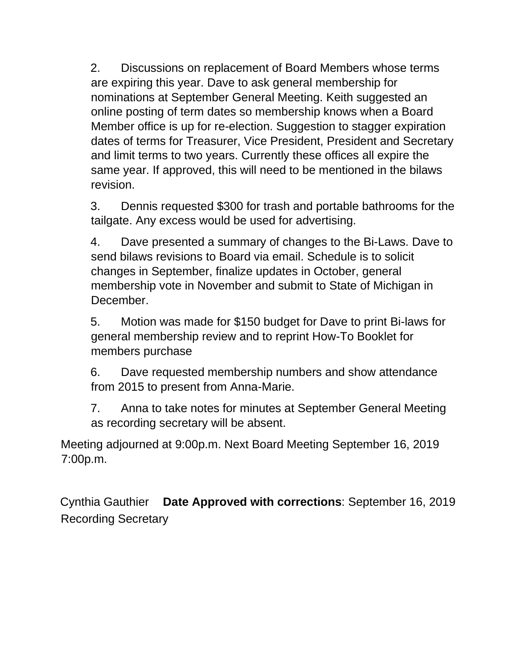2. Discussions on replacement of Board Members whose terms are expiring this year. Dave to ask general membership for nominations at September General Meeting. Keith suggested an online posting of term dates so membership knows when a Board Member office is up for re-election. Suggestion to stagger expiration dates of terms for Treasurer, Vice President, President and Secretary and limit terms to two years. Currently these offices all expire the same year. If approved, this will need to be mentioned in the bilaws revision.

3. Dennis requested \$300 for trash and portable bathrooms for the tailgate. Any excess would be used for advertising.

4. Dave presented a summary of changes to the Bi-Laws. Dave to send bilaws revisions to Board via email. Schedule is to solicit changes in September, finalize updates in October, general membership vote in November and submit to State of Michigan in December.

5. Motion was made for \$150 budget for Dave to print Bi-laws for general membership review and to reprint How-To Booklet for members purchase

6. Dave requested membership numbers and show attendance from 2015 to present from Anna-Marie.

7. Anna to take notes for minutes at September General Meeting as recording secretary will be absent.

Meeting adjourned at 9:00p.m. Next Board Meeting September 16, 2019 7:00p.m.

Cynthia Gauthier **Date Approved with corrections**: September 16, 2019 Recording Secretary